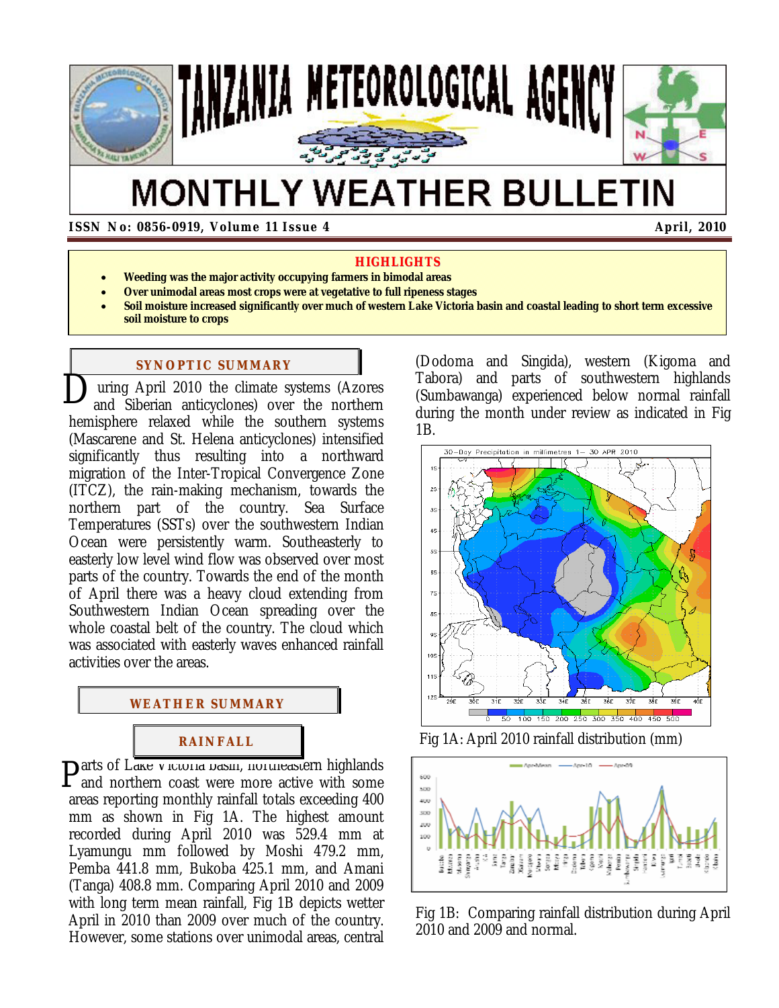

# **MONTHLY WEATHER BULLETIN**

 **ISSN No: 0856-0919, Volume 11 Issue 4** April, 2010

#### **HIGHLIGHTS**

- **Weeding was the major activity occupying farmers in bimodal areas**
- **Over unimodal areas most crops were at vegetative to full ripeness stages**
- **Soil moisture increased significantly over much of western Lake Victoria basin and coastal leading to short term excessive soil moisture to crops**

## **SYNOPTIC SUMMARY**

 uring April 2010 the climate systems (Azores **D** uring April 2010 the climate systems (Azores and Siberian anticyclones) over the northern hemisphere relaxed while the southern systems (Mascarene and St. Helena anticyclones) intensified significantly thus resulting into a northward migration of the Inter-Tropical Convergence Zone (ITCZ), the rain-making mechanism, towards the northern part of the country. Sea Surface Temperatures (SSTs) over the southwestern Indian Ocean were persistently warm. Southeasterly to easterly low level wind flow was observed over most parts of the country. Towards the end of the month of April there was a heavy cloud extending from Southwestern Indian Ocean spreading over the whole coastal belt of the country. The cloud which was associated with easterly waves enhanced rainfall activities over the areas.



arts of Lake *victoria basin, northeastern highlands* Parts of Lake victoria basin, northeastern highlands<br>and northern coast were more active with some areas reporting monthly rainfall totals exceeding 400 mm as shown in Fig 1A. The highest amount recorded during April 2010 was 529.4 mm at Lyamungu mm followed by Moshi 479.2 mm, Pemba 441.8 mm, Bukoba 425.1 mm, and Amani (Tanga) 408.8 mm. Comparing April 2010 and 2009 with long term mean rainfall, Fig 1B depicts wetter April in 2010 than 2009 over much of the country. However, some stations over unimodal areas, central

(Dodoma and Singida), western (Kigoma and Tabora) and parts of southwestern highlands (Sumbawanga) experienced below normal rainfall during the month under review as indicated in Fig 1B.



Fig 1A: April 2010 rainfall distribution (mm)



Fig 1B: Comparing rainfall distribution during April 2010 and 2009 and normal.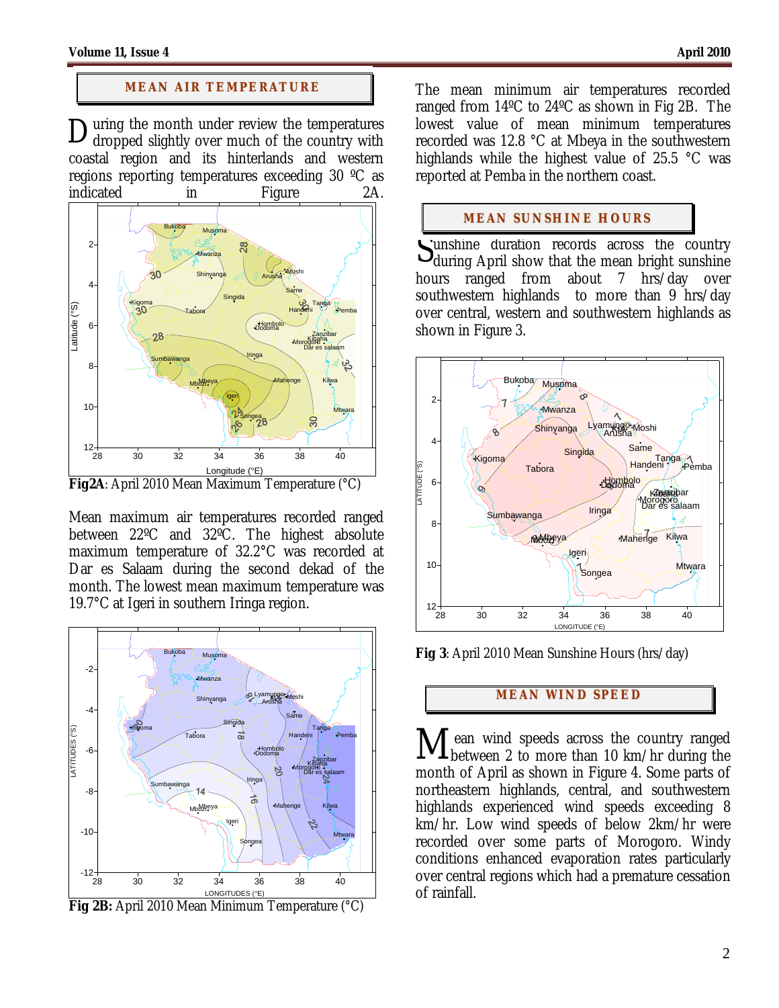## **MEAN AIR TEMPERATURE**

uring the month under review the temperatures  $\mathbf{D}$ uring the month under review the temperatures dropped slightly over much of the country with coastal region and its hinterlands and western regions reporting temperatures exceeding 30 ºC as indicated in Figure 2A.



**Fig2A**: April 2010 Mean Maximum Temperature (°C)

Mean maximum air temperatures recorded ranged between 22ºC and 32ºC. The highest absolute maximum temperature of 32.2°C was recorded at Dar es Salaam during the second dekad of the month. The lowest mean maximum temperature was 19.7°C at Igeri in southern Iringa region.



**Fig 2B:** April 2010 Mean Minimum Temperature (°C)

The mean minimum air temperatures recorded ranged from 14ºC to 24ºC as shown in Fig 2B. The lowest value of mean minimum temperatures recorded was 12.8 °C at Mbeya in the southwestern highlands while the highest value of 25.5 °C was reported at Pemba in the northern coast.

### **MEAN SUNSHINE HOURS**

unshine duration records across the country Sunshine duration records across the country during April show that the mean bright sunshine hours ranged from about 7 hrs/day over southwestern highlands to more than 9 hrs/day over central, western and southwestern highlands as shown in Figure 3.



**Fig 3**: April 2010 Mean Sunshine Hours (hrs/day)

# **MEAN WI ND SPEED**

ean wind speeds across the country ranged Mean wind speeds across the country ranged<br>between 2 to more than 10 km/hr during the month of April as shown in Figure 4. Some parts of northeastern highlands, central, and southwestern highlands experienced wind speeds exceeding 8 km/hr. Low wind speeds of below 2km/hr were recorded over some parts of Morogoro. Windy conditions enhanced evaporation rates particularly over central regions which had a premature cessation of rainfall.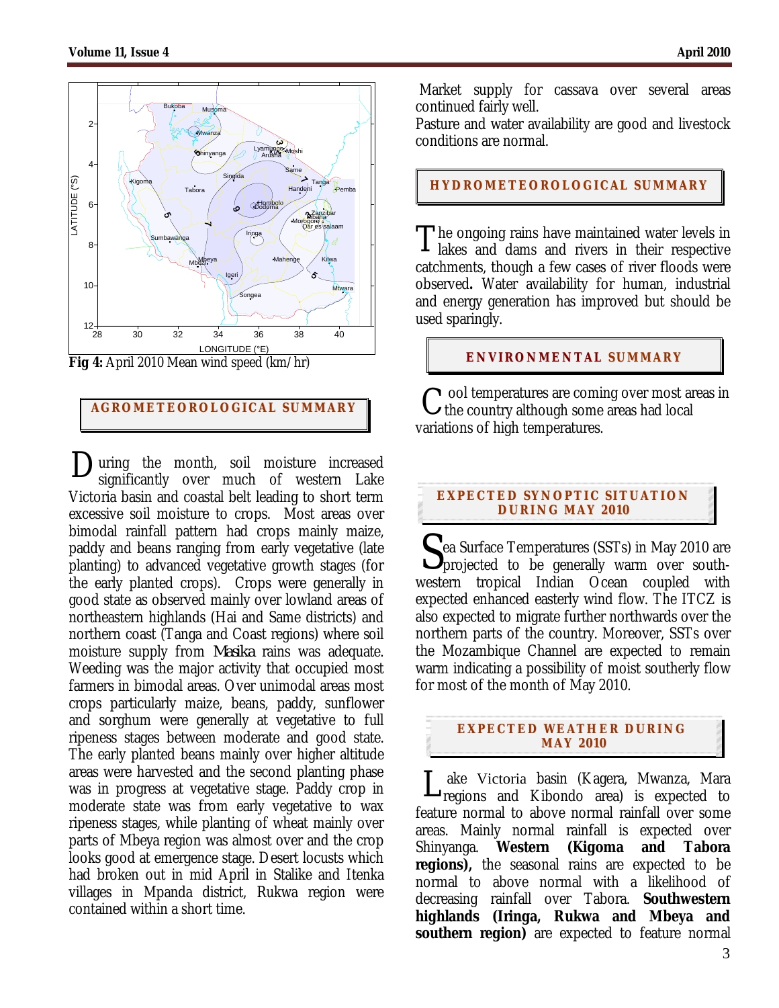

Fig 4: April 2010 Mean wind speed (km/hr)

# **AGROMETEOROLOGICAL SUMMARY**

 $\sum$ uring the month, soil moisture increased significantly over much of western Lake significantly over much of western Lake Victoria basin and coastal belt leading to short term excessive soil moisture to crops. Most areas over bimodal rainfall pattern had crops mainly maize, paddy and beans ranging from early vegetative (late planting) to advanced vegetative growth stages (for the early planted crops). Crops were generally in good state as observed mainly over lowland areas of northeastern highlands (Hai and Same districts) and northern coast (Tanga and Coast regions) where soil moisture supply from *Masika* rains was adequate. Weeding was the major activity that occupied most farmers in bimodal areas. Over unimodal areas most crops particularly maize, beans, paddy, sunflower and sorghum were generally at vegetative to full ripeness stages between moderate and good state. The early planted beans mainly over higher altitude areas were harvested and the second planting phase was in progress at vegetative stage. Paddy crop in moderate state was from early vegetative to wax ripeness stages, while planting of wheat mainly over parts of Mbeya region was almost over and the crop looks good at emergence stage. Desert locusts which had broken out in mid April in Stalike and Itenka villages in Mpanda district, Rukwa region were contained within a short time.

 Market supply for cassava over several areas continued fairly well.

Pasture and water availability are good and livestock conditions are normal.

**HYDROMETEOROLOGICAL SUMMARY**

**The ongoing rains have maintained water levels in** The ongoing rains have maintained water levels in<br>lakes and dams and rivers in their respective catchments, though a few cases of river floods were observed**.** Water availability for human, industrial and energy generation has improved but should be used sparingly.

## **ENVIRONMENTAL SUMMARY**

ool temperatures are coming over most areas in  $C$  ool temperatures are coming over most are the country although some areas had local variations of high temperatures.

#### **EXPECTED SYNOPTIC SITUATION DURI NG MAY 201 0**

ea Surface Temperatures (SSTs) in May 2010 are Sea Surface Temperatures (SSTs) in May 2010 are<br>projected to be generally warm over southwestern tropical Indian Ocean coupled with expected enhanced easterly wind flow. The ITCZ is also expected to migrate further northwards over the northern parts of the country. Moreover, SSTs over the Mozambique Channel are expected to remain warm indicating a possibility of moist southerly flow for most of the month of May 2010.

## **EXPECTED WEATHER DURI NG MAY 201 0**

 ake Victoria basin (Kagera, Mwanza, Mara Lake Victoria basin (Kagera, Mwanza, Mara<br>
regions and Kibondo area) is expected to feature normal to above normal rainfall over some areas. Mainly normal rainfall is expected over Shinyanga. **Western (Kigoma and Tabora regions),** the seasonal rains are expected to be normal to above normal with a likelihood of decreasing rainfall over Tabora. **Southwestern highlands (Iringa, Rukwa and Mbeya and southern region)** are expected to feature normal